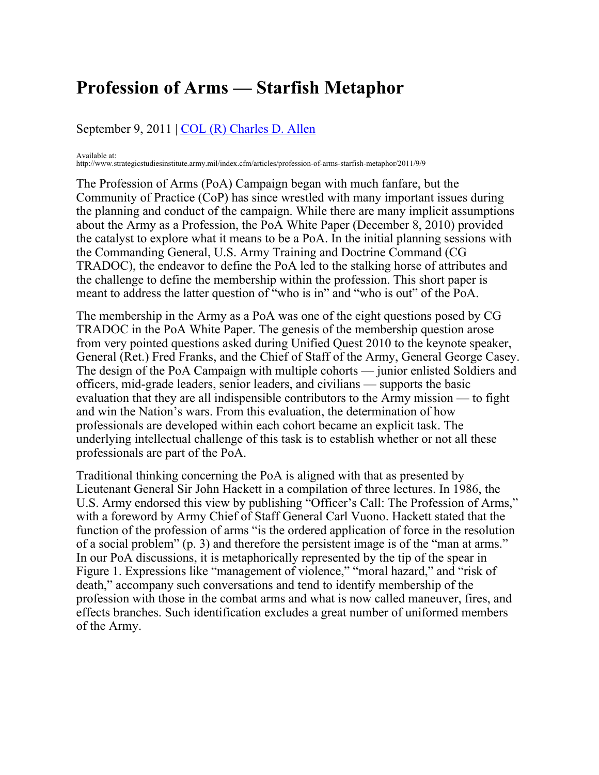## **Profession of Arms — Starfish Metaphor**

## September 9, 2011 | [COL \(R\) Charles D. Allen](file:/pubs/people.cfm?authorID=805)

Available at:

http://www.strategicstudiesinstitute.army.mil/index.cfm/articles/profession-of-arms-starfish-metaphor/2011/9/9

The Profession of Arms (PoA) Campaign began with much fanfare, but the Community of Practice (CoP) has since wrestled with many important issues during the planning and conduct of the campaign. While there are many implicit assumptions about the Army as a Profession, the PoA White Paper (December 8, 2010) provided the catalyst to explore what it means to be a PoA. In the initial planning sessions with the Commanding General, U.S. Army Training and Doctrine Command (CG TRADOC), the endeavor to define the PoA led to the stalking horse of attributes and the challenge to define the membership within the profession. This short paper is meant to address the latter question of "who is in" and "who is out" of the PoA.

The membership in the Army as a PoA was one of the eight questions posed by CG TRADOC in the PoA White Paper. The genesis of the membership question arose from very pointed questions asked during Unified Quest 2010 to the keynote speaker, General (Ret.) Fred Franks, and the Chief of Staff of the Army, General George Casey. The design of the PoA Campaign with multiple cohorts — junior enlisted Soldiers and officers, mid-grade leaders, senior leaders, and civilians — supports the basic evaluation that they are all indispensible contributors to the Army mission — to fight and win the Nation's wars. From this evaluation, the determination of how professionals are developed within each cohort became an explicit task. The underlying intellectual challenge of this task is to establish whether or not all these professionals are part of the PoA.

Traditional thinking concerning the PoA is aligned with that as presented by Lieutenant General Sir John Hackett in a compilation of three lectures. In 1986, the U.S. Army endorsed this view by publishing "Officer's Call: The Profession of Arms," with a foreword by Army Chief of Staff General Carl Vuono. Hackett stated that the function of the profession of arms "is the ordered application of force in the resolution of a social problem" (p. 3) and therefore the persistent image is of the "man at arms." In our PoA discussions, it is metaphorically represented by the tip of the spear in Figure 1. Expressions like "management of violence," "moral hazard," and "risk of death," accompany such conversations and tend to identify membership of the profession with those in the combat arms and what is now called maneuver, fires, and effects branches. Such identification excludes a great number of uniformed members of the Army.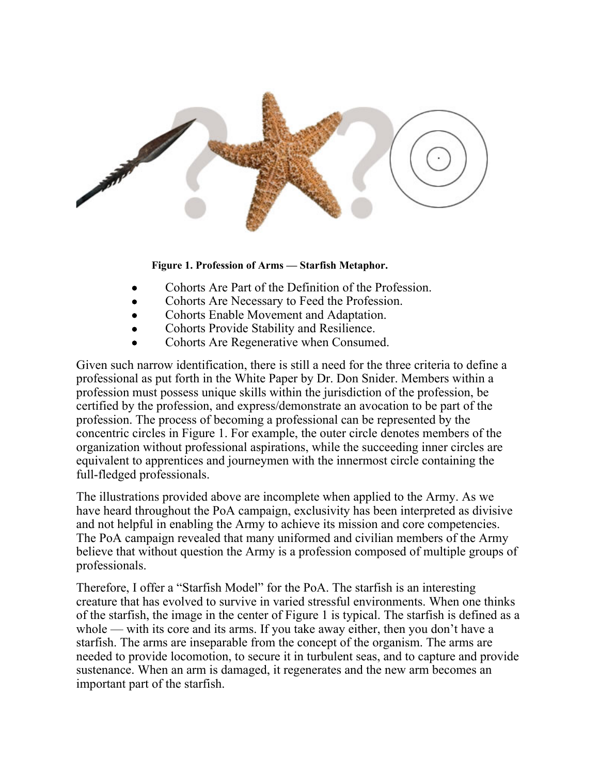

## **Figure 1. Profession of Arms — Starfish Metaphor.**

- Cohorts Are Part of the Definition of the Profession.
- Cohorts Are Necessary to Feed the Profession.
- Cohorts Enable Movement and Adaptation.
- Cohorts Provide Stability and Resilience.
- Cohorts Are Regenerative when Consumed.

Given such narrow identification, there is still a need for the three criteria to define a professional as put forth in the White Paper by Dr. Don Snider. Members within a profession must possess unique skills within the jurisdiction of the profession, be certified by the profession, and express/demonstrate an avocation to be part of the profession. The process of becoming a professional can be represented by the concentric circles in Figure 1. For example, the outer circle denotes members of the organization without professional aspirations, while the succeeding inner circles are equivalent to apprentices and journeymen with the innermost circle containing the full-fledged professionals.

The illustrations provided above are incomplete when applied to the Army. As we have heard throughout the PoA campaign, exclusivity has been interpreted as divisive and not helpful in enabling the Army to achieve its mission and core competencies. The PoA campaign revealed that many uniformed and civilian members of the Army believe that without question the Army is a profession composed of multiple groups of professionals.

Therefore, I offer a "Starfish Model" for the PoA. The starfish is an interesting creature that has evolved to survive in varied stressful environments. When one thinks of the starfish, the image in the center of Figure 1 is typical. The starfish is defined as a whole — with its core and its arms. If you take away either, then you don't have a starfish. The arms are inseparable from the concept of the organism. The arms are needed to provide locomotion, to secure it in turbulent seas, and to capture and provide sustenance. When an arm is damaged, it regenerates and the new arm becomes an important part of the starfish.